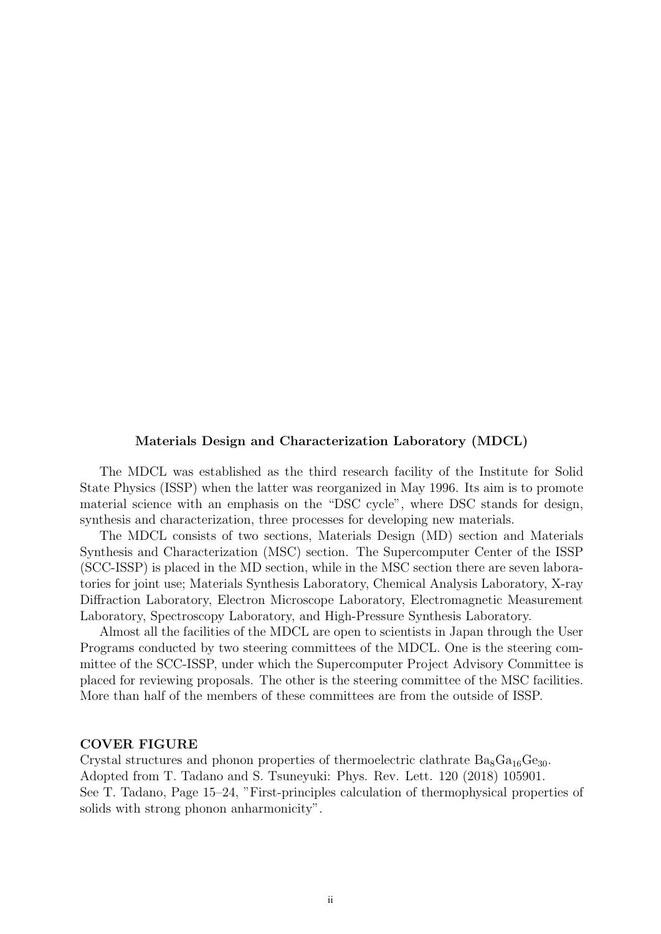### Materials Design and Characterization Laboratory (MDCL)

The MDCL was established as the third research facility of the Institute for Solid State Physics (ISSP) when the latter was reorganized in May 1996. Its aim is to promote material science with an emphasis on the "DSC cycle", where DSC stands for design, synthesis and characterization, three processes for developing new materials.

The MDCL consists of two sections, Materials Design (MD) section and Materials Synthesis and Characterization (MSC) section. The Supercomputer Center of the ISSP (SCC-ISSP) is placed in the MD section, while in the MSC section there are seven laboratories for joint use; Materials Synthesis Laboratory, Chemical Analysis Laboratory, X-ray Diffraction Laboratory, Electron Microscope Laboratory, Electromagnetic Measurement Laboratory, Spectroscopy Laboratory, and High-Pressure Synthesis Laboratory.

Almost all the facilities of the MDCL are open to scientists in Japan through the User Programs conducted by two steering committees of the MDCL. One is the steering committee of the SCC-ISSP, under which the Supercomputer Project Advisory Committee is placed for reviewing proposals. The other is the steering committee of the MSC facilities. More than half of the members of these committees are from the outside of ISSP.

#### COVER FIGURE

Crystal structures and phonon properties of thermoelectric clathrate  $Ba_8Ga_{16}Ge_{30}$ . Adopted from T. Tadano and S. Tsuneyuki: Phys. Rev. Lett. 120 (2018) 105901. See T. Tadano, Page 15–24, "First-principles calculation of thermophysical properties of solids with strong phonon anharmonicity".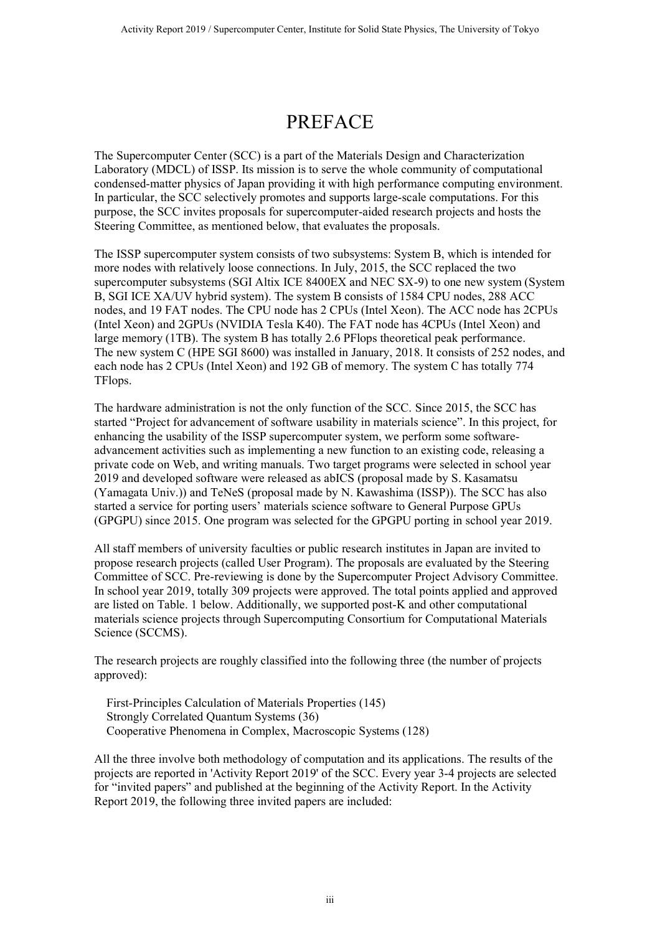## PREFACE

The Supercomputer Center (SCC) is a part of the Materials Design and Characterization Laboratory (MDCL) of ISSP. Its mission is to serve the whole community of computational condensed-matter physics of Japan providing it with high performance computing environment. In particular, the SCC selectively promotes and supports large-scale computations. For this purpose, the SCC invites proposals for supercomputer-aided research projects and hosts the Steering Committee, as mentioned below, that evaluates the proposals.

The ISSP supercomputer system consists of two subsystems: System B, which is intended for more nodes with relatively loose connections. In July, 2015, the SCC replaced the two supercomputer subsystems (SGI Altix ICE 8400EX and NEC SX-9) to one new system (System B, SGI ICE XA/UV hybrid system). The system B consists of 1584 CPU nodes, 288 ACC nodes, and 19 FAT nodes. The CPU node has 2 CPUs (Intel Xeon). The ACC node has 2CPUs (Intel Xeon) and 2GPUs (NVIDIA Tesla K40). The FAT node has 4CPUs (Intel Xeon) and large memory (1TB). The system B has totally 2.6 PFlops theoretical peak performance. The new system C (HPE SGI 8600) was installed in January, 2018. It consists of 252 nodes, and each node has 2 CPUs (Intel Xeon) and 192 GB of memory. The system C has totally 774 TFlops.

The hardware administration is not the only function of the SCC. Since 2015, the SCC has started "Project for advancement of software usability in materials science". In this project, for enhancing the usability of the ISSP supercomputer system, we perform some softwareadvancement activities such as implementing a new function to an existing code, releasing a private code on Web, and writing manuals. Two target programs were selected in school year 2019 and developed software were released as abICS (proposal made by S. Kasamatsu (Yamagata Univ.)) and TeNeS (proposal made by N. Kawashima (ISSP)). The SCC has also started a service for porting users' materials science software to General Purpose GPUs (GPGPU) since 2015. One program was selected for the GPGPU porting in school year 2019.

All staff members of university faculties or public research institutes in Japan are invited to propose research projects (called User Program). The proposals are evaluated by the Steering Committee of SCC. Pre-reviewing is done by the Supercomputer Project Advisory Committee. In school year 2019, totally 309 projects were approved. The total points applied and approved are listed on Table. 1 below. Additionally, we supported post-K and other computational materials science projects through Supercomputing Consortium for Computational Materials Science (SCCMS).

The research projects are roughly classified into the following three (the number of projects approved):

 First-Principles Calculation of Materials Properties (145) Strongly Correlated Quantum Systems (36) Cooperative Phenomena in Complex, Macroscopic Systems (128)

All the three involve both methodology of computation and its applications. The results of the projects are reported in 'Activity Report 2019' of the SCC. Every year 3-4 projects are selected for "invited papers" and published at the beginning of the Activity Report. In the Activity Report 2019, the following three invited papers are included: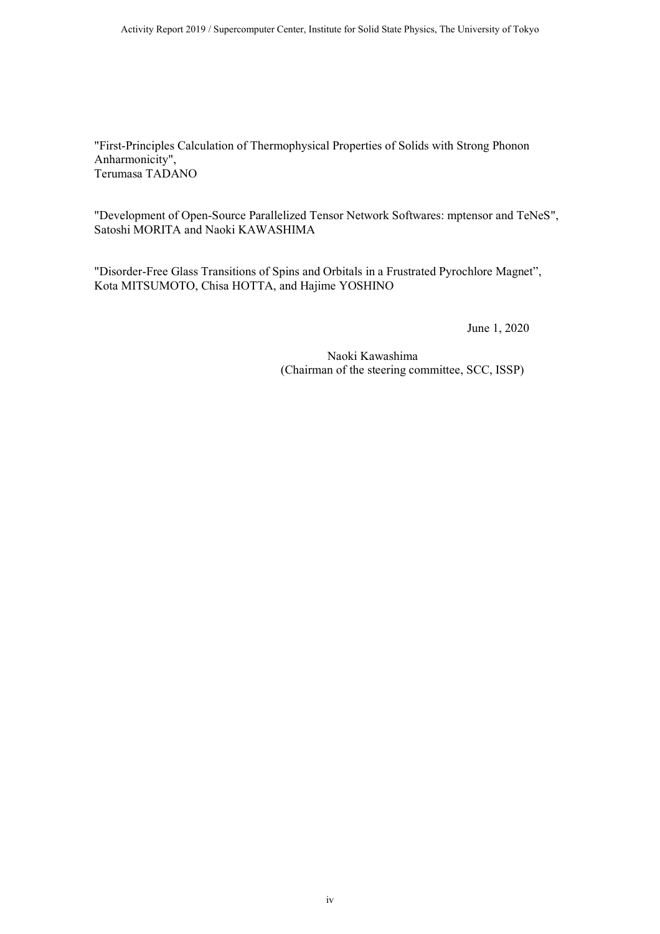"First-Principles Calculation of Thermophysical Properties of Solids with Strong Phonon Anharmonicity", Terumasa TADANO

"Development of Open-Source Parallelized Tensor Network Softwares: mptensor and TeNeS", Satoshi MORITA and Naoki KAWASHIMA

"Disorder-Free Glass Transitions of Spins and Orbitals in a Frustrated Pyrochlore Magnet", Kota MITSUMOTO, Chisa HOTTA, and Hajime YOSHINO

June 1, 2020

Naoki Kawashima (Chairman of the steering committee, SCC, ISSP)